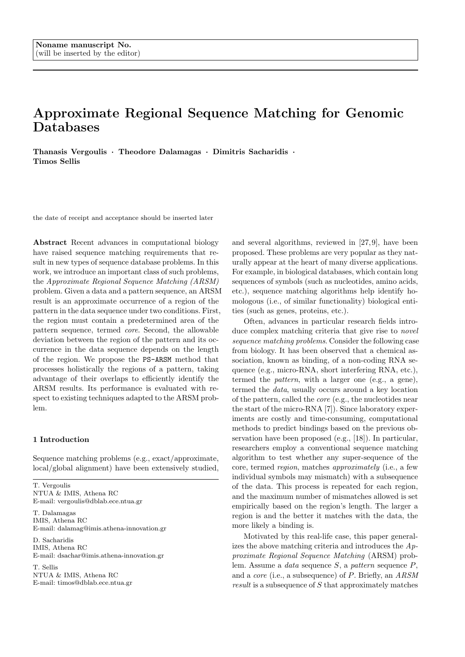# Approximate Regional Sequence Matching for Genomic Databases

Thanasis Vergoulis · Theodore Dalamagas · Dimitris Sacharidis · Timos Sellis

the date of receipt and acceptance should be inserted later

Abstract Recent advances in computational biology have raised sequence matching requirements that result in new types of sequence database problems. In this work, we introduce an important class of such problems, the Approximate Regional Sequence Matching (ARSM) problem. Given a data and a pattern sequence, an ARSM result is an approximate occurrence of a region of the pattern in the data sequence under two conditions. First, the region must contain a predetermined area of the pattern sequence, termed core. Second, the allowable deviation between the region of the pattern and its occurrence in the data sequence depends on the length of the region. We propose the PS-ARSM method that processes holistically the regions of a pattern, taking advantage of their overlaps to efficiently identify the ARSM results. Its performance is evaluated with respect to existing techniques adapted to the ARSM problem.

## 1 Introduction

Sequence matching problems (e.g., exact/approximate, local/global alignment) have been extensively studied,

T. Vergoulis NTUA & IMIS, Athena RC E-mail: vergoulis@dblab.ece.ntua.gr

T. Dalamagas IMIS, Athena RC E-mail: dalamag@imis.athena-innovation.gr

D. Sacharidis IMIS, Athena RC E-mail: dsachar@imis.athena-innovation.gr

T. Sellis NTUA & IMIS, Athena RC E-mail: timos@dblab.ece.ntua.gr

and several algorithms, reviewed in [27, 9], have been proposed. These problems are very popular as they naturally appear at the heart of many diverse applications. For example, in biological databases, which contain long sequences of symbols (such as nucleotides, amino acids, etc.), sequence matching algorithms help identify homologous (i.e., of similar functionality) biological entities (such as genes, proteins, etc.).

Often, advances in particular research fields introduce complex matching criteria that give rise to *novel* sequence matching problems. Consider the following case from biology. It has been observed that a chemical association, known as binding, of a non-coding RNA sequence (e.g., micro-RNA, short interfering RNA, etc.), termed the pattern, with a larger one (e.g., a gene), termed the data, usually occurs around a key location of the pattern, called the core (e.g., the nucleotides near the start of the micro-RNA [7]). Since laboratory experiments are costly and time-consuming, computational methods to predict bindings based on the previous observation have been proposed (e.g., [18]). In particular, researchers employ a conventional sequence matching algorithm to test whether any super-sequence of the core, termed region, matches approximately (i.e., a few individual symbols may mismatch) with a subsequence of the data. This process is repeated for each region, and the maximum number of mismatches allowed is set empirically based on the region's length. The larger a region is and the better it matches with the data, the more likely a binding is.

Motivated by this real-life case, this paper generalizes the above matching criteria and introduces the Approximate Regional Sequence Matching (ARSM) problem. Assume a *data* sequence  $S$ , a *pattern* sequence  $P$ , and a core (i.e., a subsequence) of P. Briefly, an ARSM result is a subsequence of S that approximately matches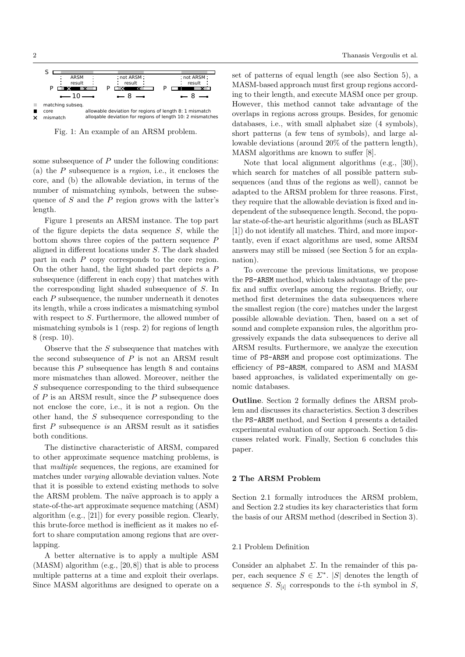

Fig. 1: An example of an ARSM problem.

some subsequence of P under the following conditions: (a) the  $P$  subsequence is a *region*, i.e., it encloses the core, and (b) the allowable deviation, in terms of the number of mismatching symbols, between the subsequence of  $S$  and the  $P$  region grows with the latter's length.

Figure 1 presents an ARSM instance. The top part of the figure depicts the data sequence  $S$ , while the bottom shows three copies of the pattern sequence P aligned in different locations under S. The dark shaded part in each P copy corresponds to the core region. On the other hand, the light shaded part depicts a P subsequence (different in each copy) that matches with the corresponding light shaded subsequence of S. In each P subsequence, the number underneath it denotes its length, while a cross indicates a mismatching symbol with respect to S. Furthermore, the allowed number of mismatching symbols is 1 (resp. 2) for regions of length 8 (resp. 10).

Observe that the  $S$  subsequence that matches with the second subsequence of P is not an ARSM result because this  $P$  subsequence has length  $8$  and contains more mismatches than allowed. Moreover, neither the S subsequence corresponding to the third subsequence of  $P$  is an ARSM result, since the  $P$  subsequence does not enclose the core, i.e., it is not a region. On the other hand, the S subsequence corresponding to the first P subsequence is an ARSM result as it satisfies both conditions.

The distinctive characteristic of ARSM, compared to other approximate sequence matching problems, is that multiple sequences, the regions, are examined for matches under varying allowable deviation values. Note that it is possible to extend existing methods to solve the ARSM problem. The naïve approach is to apply a state-of-the-art approximate sequence matching (ASM) algorithm (e.g., [21]) for every possible region. Clearly, this brute-force method is inefficient as it makes no effort to share computation among regions that are overlapping.

A better alternative is to apply a multiple ASM  $(MASM)$  algorithm  $(e.g., [20, 8])$  that is able to process multiple patterns at a time and exploit their overlaps. Since MASM algorithms are designed to operate on a set of patterns of equal length (see also Section 5), a MASM-based approach must first group regions according to their length, and execute MASM once per group. However, this method cannot take advantage of the overlaps in regions across groups. Besides, for genomic databases, i.e., with small alphabet size (4 symbols), short patterns (a few tens of symbols), and large allowable deviations (around 20% of the pattern length), MASM algorithms are known to suffer [8].

Note that local alignment algorithms (e.g., [30]), which search for matches of all possible pattern subsequences (and thus of the regions as well), cannot be adapted to the ARSM problem for three reasons. First, they require that the allowable deviation is fixed and independent of the subsequence length. Second, the popular state-of-the-art heuristic algorithms (such as BLAST [1]) do not identify all matches. Third, and more importantly, even if exact algorithms are used, some ARSM answers may still be missed (see Section 5 for an explanation).

To overcome the previous limitations, we propose the PS-ARSM method, which takes advantage of the prefix and suffix overlaps among the regions. Briefly, our method first determines the data subsequences where the smallest region (the core) matches under the largest possible allowable deviation. Then, based on a set of sound and complete expansion rules, the algorithm progressively expands the data subsequences to derive all ARSM results. Furthermore, we analyze the execution time of PS-ARSM and propose cost optimizations. The efficiency of PS-ARSM, compared to ASM and MASM based approaches, is validated experimentally on genomic databases.

Outline. Section 2 formally defines the ARSM problem and discusses its characteristics. Section 3 describes the PS-ARSM method, and Section 4 presents a detailed experimental evaluation of our approach. Section 5 discusses related work. Finally, Section 6 concludes this paper.

#### 2 The ARSM Problem

Section 2.1 formally introduces the ARSM problem, and Section 2.2 studies its key characteristics that form the basis of our ARSM method (described in Section 3).

#### 2.1 Problem Definition

Consider an alphabet  $\Sigma$ . In the remainder of this paper, each sequence  $S \in \Sigma^*$ . |S| denotes the length of sequence S.  $S_{[i]}$  corresponds to the *i*-th symbol in S,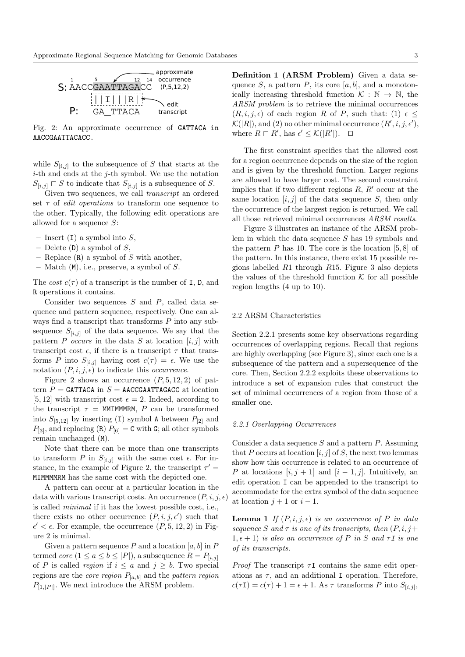

Fig. 2: An approximate occurrence of GATTACA in AACCGAATTACACC.

while  $S_{[i,j]}$  to the subsequence of S that starts at the  $i$ -th and ends at the  $j$ -th symbol. We use the notation  $S_{[i,j]} \sqsubset S$  to indicate that  $S_{[i,j]}$  is a subsequence of S.

Given two sequences, we call transcript an ordered set  $\tau$  of *edit operations* to transform one sequence to the other. Typically, the following edit operations are allowed for a sequence S:

- Insert (I) a symbol into  $S$ ,
- Delete  $(D)$  a symbol of  $S$ ,
- Replace  $(R)$  a symbol of S with another,
- $-$  Match  $(M)$ , i.e., preserve, a symbol of S.

The cost  $c(\tau)$  of a transcript is the number of I, D, and R operations it contains.

Consider two sequences  $S$  and  $P$ , called data sequence and pattern sequence, respectively. One can always find a transcript that transforms P into any subsequence  $S_{[i,j]}$  of the data sequence. We say that the pattern P occurs in the data S at location  $[i, j]$  with transcript cost  $\epsilon$ , if there is a transcript  $\tau$  that transforms P into  $S_{[i,j]}$  having cost  $c(\tau) = \epsilon$ . We use the notation  $(P, i, j, \epsilon)$  to indicate this *occurrence*.

Figure 2 shows an occurrence  $(P, 5, 12, 2)$  of pattern  $P =$  GATTACA in  $S =$  AACCGAATTAGACC at location [5, 12] with transcript cost  $\epsilon = 2$ . Indeed, according to the transcript  $\tau =$  MMIMMMRM, P can be transformed into  $S_{[5,12]}$  by inserting (I) symbol A between  $P_{[2]}$  and  $P_{[3]}$ , and replacing (R)  $P_{[6]} = C$  with G; all other symbols remain unchanged (M).

Note that there can be more than one transcripts to transform P in  $S_{[i,j]}$  with the same cost  $\epsilon$ . For instance, in the example of Figure 2, the transcript  $\tau'$  = MIMMMMRM has the same cost with the depicted one.

A pattern can occur at a particular location in the data with various transcript costs. An occurrence  $(P, i, j, \epsilon)$ is called minimal if it has the lowest possible cost, i.e., there exists no other occurrence  $(P, i, j, \epsilon')$  such that  $\epsilon' < \epsilon$ . For example, the occurrence  $(P, 5, 12, 2)$  in Figure 2 is minimal.

Given a pattern sequence  $P$  and a location  $[a, b]$  in  $P$ termed *core*  $(1 \le a \le b \le |P|)$ , a subsequence  $R = P_{[i,j]}$ of P is called region if  $i \leq a$  and  $j \geq b$ . Two special regions are the *core region*  $P_{[a,b]}$  and the *pattern region*  $P_{[1,1]}$ . We next introduce the ARSM problem.

Definition 1 (ARSM Problem) Given a data sequence S, a pattern P, its core  $[a, b]$ , and a monotonically increasing threshold function  $K : \mathbb{N} \to \mathbb{N}$ , the ARSM problem is to retrieve the minimal occurrences  $(R, i, j, \epsilon)$  of each region R of P, such that: (1)  $\epsilon \leq$  $\mathcal{K}(|R|)$ , and (2) no other minimal occurrence  $(R', i, j, \epsilon')$ , where  $R \sqsubset R'$ , has  $\epsilon' \leq \mathcal{K}(|R'|)$ .  $\Box$ 

The first constraint specifies that the allowed cost for a region occurrence depends on the size of the region and is given by the threshold function. Larger regions are allowed to have larger cost. The second constraint implies that if two different regions  $R, R'$  occur at the same location  $[i, j]$  of the data sequence S, then only the occurrence of the largest region is returned. We call all those retrieved minimal occurrences ARSM results.

Figure 3 illustrates an instance of the ARSM problem in which the data sequence S has 19 symbols and the pattern  $P$  has 10. The core is the location  $[5, 8]$  of the pattern. In this instance, there exist 15 possible regions labelled R1 through R15. Figure 3 also depicts the values of the threshold function  $K$  for all possible region lengths (4 up to 10).

# 2.2 ARSM Characteristics

Section 2.2.1 presents some key observations regarding occurrences of overlapping regions. Recall that regions are highly overlapping (see Figure 3), since each one is a subsequence of the pattern and a supersequence of the core. Then, Section 2.2.2 exploits these observations to introduce a set of expansion rules that construct the set of minimal occurrences of a region from those of a smaller one.

#### 2.2.1 Overlapping Occurrences

Consider a data sequence  $S$  and a pattern  $P$ . Assuming that P occurs at location  $[i, j]$  of S, the next two lemmas show how this occurrence is related to an occurrence of P at locations  $[i, j + 1]$  and  $[i - 1, j]$ . Intuitively, an edit operation I can be appended to the transcript to accommodate for the extra symbol of the data sequence at location  $j + 1$  or  $i - 1$ .

**Lemma 1** If  $(P, i, j, \epsilon)$  is an occurrence of P in data sequence S and  $\tau$  is one of its transcripts, then  $(P, i, j+)$  $1, \epsilon + 1$ ) is also an occurrence of P in S and  $\tau I$  is one of its transcripts.

*Proof* The transcript  $\tau$ I contains the same edit operations as  $\tau$ , and an additional I operation. Therefore,  $c(\tau I) = c(\tau) + 1 = \epsilon + 1$ . As  $\tau$  transforms P into  $S_{[i,j]},$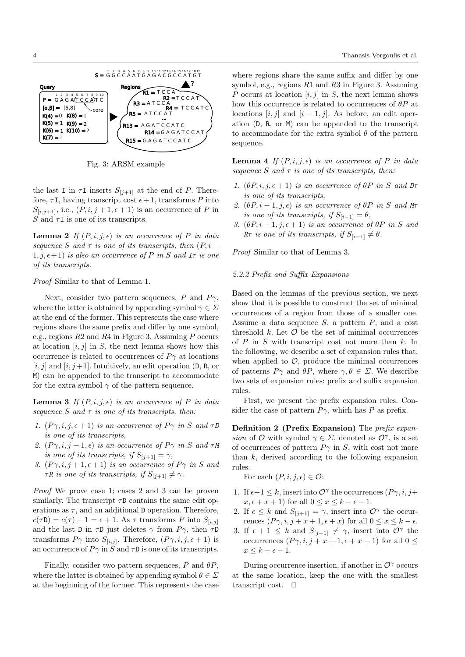

Fig. 3: ARSM example

the last I in  $\tau$ I inserts  $S_{[j+1]}$  at the end of P. Therefore,  $\tau$ **I**, having transcript cost  $\epsilon$  + 1, transforms P into  $S_{[i,j+1]}$ , i.e.,  $(P, i, j+1, \epsilon+1)$  is an occurrence of P in S and  $\tau$ **I** is one of its transcripts.

**Lemma 2** If  $(P, i, j, \epsilon)$  is an occurrence of P in data sequence S and  $\tau$  is one of its transcripts, then  $(P, i -$ 1, j,  $\epsilon$ +1) is also an occurrence of P in S and I $\tau$  is one of its transcripts.

*Proof* Similar to that of Lemma 1.

Next, consider two pattern sequences, P and  $P\gamma$ , where the latter is obtained by appending symbol  $\gamma \in \Sigma$ at the end of the former. This represents the case where regions share the same prefix and differ by one symbol. e.g., regions  $R2$  and  $R4$  in Figure 3. Assuming P occurs at location  $[i, j]$  in S, the next lemma shows how this occurrence is related to occurrences of  $P\gamma$  at locations  $[i, j]$  and  $[i, j+1]$ . Intuitively, an edit operation (D, R, or M) can be appended to the transcript to accommodate for the extra symbol  $\gamma$  of the pattern sequence.

**Lemma 3** If  $(P, i, j, \epsilon)$  is an occurrence of P in data sequence S and  $\tau$  is one of its transcripts, then:

- 1.  $(P\gamma, i, j, \epsilon + 1)$  is an occurrence of  $P\gamma$  in S and  $\tau D$ is one of its transcripts,
- 2.  $(P\gamma, i, j+1, \epsilon)$  is an occurrence of  $P\gamma$  in S and  $\tau M$ is one of its transcripts, if  $S_{[i+1]} = \gamma$ ,
- 3.  $(P\gamma, i, j+1, \epsilon+1)$  is an occurrence of  $P\gamma$  in S and  $\tau R$  is one of its transcripts, if  $S_{[i+1]} \neq \gamma$ .

*Proof* We prove case 1; cases 2 and 3 can be proven similarly. The transcript  $\tau$ **D** contains the same edit operations as  $\tau$ , and an additional D operation. Therefore,  $c(\tau D) = c(\tau) + 1 = \epsilon + 1$ . As  $\tau$  transforms P into  $S_{[i,j]}$ and the last D in  $\tau$ D just deletes  $\gamma$  from  $P\gamma$ , then  $\tau$ D transforms  $P\gamma$  into  $S_{[i,j]}$ . Therefore,  $(P\gamma, i, j, \epsilon + 1)$  is an occurrence of  $P\gamma$  in  $S$  and  $\tau {\mathsf D}$  is one of its transcripts.

Finally, consider two pattern sequences,  $P$  and  $\theta P$ , where the latter is obtained by appending symbol  $\theta \in \Sigma$ at the beginning of the former. This represents the case where regions share the same suffix and differ by one symbol, e.g., regions  $R1$  and  $R3$  in Figure 3. Assuming P occurs at location  $[i, j]$  in S, the next lemma shows how this occurrence is related to occurrences of  $\theta P$  at locations [i, j] and [i - 1, j]. As before, an edit operation  $(D, R, \text{or } M)$  can be appended to the transcript to accommodate for the extra symbol  $\theta$  of the pattern sequence.

**Lemma 4** If  $(P, i, j, \epsilon)$  is an occurrence of P in data sequence S and  $\tau$  is one of its transcripts, then:

- 1.  $(\theta P, i, j, \epsilon + 1)$  is an occurrence of  $\theta P$  in S and  $D\tau$ is one of its transcripts,
- 2.  $(\theta P, i-1, j, \epsilon)$  is an occurrence of  $\theta P$  in S and M is one of its transcripts, if  $S_{[i-1]} = \theta$ ,
- 3.  $(\theta P, i 1, j, \epsilon + 1)$  is an occurrence of  $\theta P$  in S and R $\tau$  is one of its transcripts, if  $S_{[i-1]} \neq \theta$ .

Proof Similar to that of Lemma 3.

#### 2.2.2 Prefix and Suffix Expansions

Based on the lemmas of the previous section, we next show that it is possible to construct the set of minimal occurrences of a region from those of a smaller one. Assume a data sequence  $S$ , a pattern  $P$ , and a cost threshold  $k$ . Let  $\mathcal O$  be the set of minimal occurrences of  $P$  in  $S$  with transcript cost not more than  $k$ . In the following, we describe a set of expansion rules that, when applied to  $\mathcal{O}$ , produce the minimal occurrences of patterns  $P\gamma$  and  $\theta P$ , where  $\gamma, \theta \in \Sigma$ . We describe two sets of expansion rules: prefix and suffix expansion rules.

First, we present the prefix expansion rules. Consider the case of pattern  $P\gamma$ , which has P as prefix.

Definition 2 (Prefix Expansion) The prefix expansion of O with symbol  $\gamma \in \Sigma$ , denoted as  $\mathcal{O}^{\gamma}$ , is a set of occurrences of pattern  $P\gamma$  in S, with cost not more than  $k$ , derived according to the following expansion rules.

For each  $(P, i, j, \epsilon) \in \mathcal{O}$ :

- 1. If  $\epsilon+1 \leq k$ , insert into  $\mathcal{O}^{\gamma}$  the occurrences  $(P\gamma, i, j+1)$  $x, \epsilon + x + 1$  for all  $0 \le x \le k - \epsilon - 1$ .
- 2. If  $\epsilon \leq k$  and  $S_{[i+1]} = \gamma$ , insert into  $\mathcal{O}^{\gamma}$  the occurrences  $(P\gamma, i, j + x + 1, \epsilon + x)$  for all  $0 \le x \le k - \epsilon$ .
- 3. If  $\epsilon + 1 \leq k$  and  $S_{[i+1]} \neq \gamma$ , insert into  $\mathcal{O}^{\gamma}$  the occurrences  $(P\gamma, i, j + x + 1, \epsilon + x + 1)$  for all  $0 \leq$  $x \leq k - \epsilon - 1$ .

During occurrence insertion, if another in  $\mathcal{O}^{\gamma}$  occurs at the same location, keep the one with the smallest transcript cost.  $\square$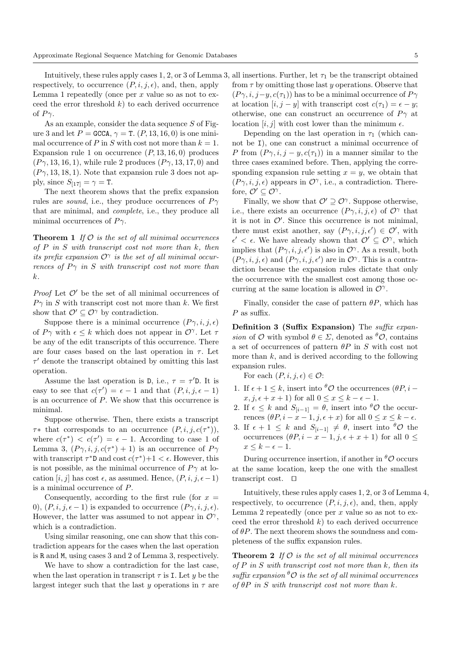respectively, to occurrence  $(P, i, j, \epsilon)$ , and, then, apply Lemma 1 repeatedly (once per  $x$  value so as not to exceed the error threshold  $k$ ) to each derived occurrence of  $P\gamma$ .

As an example, consider the data sequence  $S$  of Figure 3 and let  $P =$  GCCA,  $\gamma =$  T.  $(P, 13, 16, 0)$  is one minimal occurrence of P in S with cost not more than  $k = 1$ . Expansion rule 1 on occurrence  $(P, 13, 16, 0)$  produces  $(P\gamma, 13, 16, 1)$ , while rule 2 produces  $(P\gamma, 13, 17, 0)$  and  $(P\gamma, 13, 18, 1)$ . Note that expansion rule 3 does not apply, since  $S_{[17]} = \gamma = \texttt{T}$ .

The next theorem shows that the prefix expansion rules are *sound*, i.e., they produce occurrences of  $P\gamma$ that are minimal, and complete, i.e., they produce all minimal occurrences of  $P_{\gamma}$ .

**Theorem 1** If  $\mathcal O$  is the set of all minimal occurrences of  $P$  in  $S$  with transcript cost not more than  $k$ , then its prefix expansion  $\mathcal{O}^{\gamma}$  is the set of all minimal occurrences of  $P\gamma$  in S with transcript cost not more than k.

*Proof* Let  $O'$  be the set of all minimal occurrences of  $P\gamma$  in S with transcript cost not more than k. We first show that  $\mathcal{O}' \subset \mathcal{O}^\gamma$  by contradiction.

Suppose there is a minimal occurrence  $(P\gamma, i, j, \epsilon)$ of  $P\gamma$  with  $\epsilon \leq k$  which does not appear in  $\mathcal{O}^{\gamma}$ . Let  $\tau$ be any of the edit transcripts of this occurrence. There are four cases based on the last operation in  $\tau$ . Let  $\tau'$  denote the transcript obtained by omitting this last operation.

Assume the last operation is D, i.e.,  $\tau = \tau'$ D. It is easy to see that  $c(\tau') = \epsilon - 1$  and that  $(P, i, j, \epsilon - 1)$ is an occurrence of P. We show that this occurrence is minimal.

Suppose otherwise. Then, there exists a transcript  $\tau^*$  that corresponds to an occurrence  $(P, i, j, c(\tau^*)),$ where  $c(\tau^*) < c(\tau') = \epsilon - 1$ . According to case 1 of Lemma 3,  $(P\gamma, i, j, c(\tau^*) + 1)$  is an occurrence of  $P\gamma$ with transcript  $\tau^*D$  and cost  $c(\tau^*)+1 < \epsilon$ . However, this is not possible, as the minimal occurrence of  $P\gamma$  at location  $[i, j]$  has cost  $\epsilon$ , as assumed. Hence,  $(P, i, j, \epsilon - 1)$ is a minimal occurrence of P.

Consequently, according to the first rule (for  $x =$ 0),  $(P, i, j, \epsilon - 1)$  is expanded to occurrence  $(P\gamma, i, j, \epsilon)$ . However, the latter was assumed to not appear in  $\mathcal{O}^{\gamma}$ , which is a contradiction.

Using similar reasoning, one can show that this contradiction appears for the cases when the last operation is R and M, using cases 3 and 2 of Lemma 3, respectively.

We have to show a contradiction for the last case, when the last operation in transcript  $\tau$  is I. Let y be the largest integer such that the last y operations in  $\tau$  are

Intuitively, these rules apply cases  $1, 2,$  or 3 of Lemma 3, all insertions. Further, let  $\tau_1$  be the transcript obtained from  $\tau$  by omitting those last y operations. Observe that  $(P\gamma, i, j-y, c(\tau_1))$  has to be a minimal occurrence of  $P\gamma$ at location  $[i, j - y]$  with transcript cost  $c(\tau_1) = \epsilon - y$ ; otherwise, one can construct an occurrence of  $P\gamma$  at location  $[i, j]$  with cost lower than the minimum  $\epsilon$ .

> Depending on the last operation in  $\tau_1$  (which cannot be I), one can construct a minimal occurrence of P from  $(P\gamma, i, j - y, c(\tau_1))$  in a manner similar to the three cases examined before. Then, applying the corresponding expansion rule setting  $x = y$ , we obtain that  $(P\gamma, i, j, \epsilon)$  appears in  $\mathcal{O}^{\gamma}$ , i.e., a contradiction. Therefore,  $\mathcal{O}' \subseteq \mathcal{O}^{\gamma}$ .

> Finally, we show that  $\mathcal{O}' \supseteq \mathcal{O}^{\gamma}$ . Suppose otherwise, i.e., there exists an occurrence  $(P\gamma, i, j, \epsilon)$  of  $\mathcal{O}^{\gamma}$  that it is not in  $\mathcal{O}'$ . Since this occurrence is not minimal, there must exist another, say  $(P\gamma, i, j, \epsilon') \in \mathcal{O}'$ , with  $\epsilon' < \epsilon$ . We have already shown that  $\mathcal{O}' \subseteq \mathcal{O}^{\gamma}$ , which implies that  $(P\gamma, i, j, \epsilon')$  is also in  $\mathcal{O}^{\gamma}$ . As a result, both  $(P\gamma, i, j, \epsilon)$  and  $(P\gamma, i, j, \epsilon')$  are in  $\mathcal{O}^{\gamma}$ . This is a contradiction because the expansion rules dictate that only the occurrence with the smallest cost among those occurring at the same location is allowed in  $\mathcal{O}^{\gamma}$ .

> Finally, consider the case of pattern  $\theta P$ , which has  $P$  as suffix.

> Definition 3 (Suffix Expansion) The *suffix expan*sion of  $\mathcal O$  with symbol  $\theta \in \Sigma$ , denoted as  ${}^{\theta} \mathcal O$ , contains a set of occurrences of pattern  $\theta P$  in S with cost not more than  $k$ , and is derived according to the following expansion rules.

For each  $(P, i, j, \epsilon) \in \mathcal{O}$ :

- 1. If  $\epsilon + 1 \leq k$ , insert into  $\theta \mathcal{O}$  the occurrences  $(\theta P, i$  $x, j, \epsilon + x + 1$  for all  $0 \le x \le k - \epsilon - 1$ .
- 2. If  $\epsilon \leq k$  and  $S_{[i-1]} = \theta$ , insert into  $\theta \mathcal{O}$  the occurrences  $(\theta P, i - x - 1, j, \epsilon + x)$  for all  $0 \le x \le k - \epsilon$ .
- 3. If  $\epsilon + 1 \leq k$  and  $S_{[i-1]} \neq \theta$ , insert into  $\theta \mathcal{O}$  the occurrences  $(\theta P, i - x - 1, j, \epsilon + x + 1)$  for all  $0 \leq$  $x \leq k - \epsilon - 1$ .

During occurrence insertion, if another in  ${}^{\theta} \mathcal{O}$  occurs at the same location, keep the one with the smallest transcript cost.  $\Box$ 

Intuitively, these rules apply cases 1, 2, or 3 of Lemma 4, respectively, to occurrence  $(P, i, j, \epsilon)$ , and, then, apply Lemma 2 repeatedly (once per  $x$  value so as not to exceed the error threshold  $k$ ) to each derived occurrence of  $\theta P$ . The next theorem shows the soundness and completeness of the suffix expansion rules.

**Theorem 2** If  $\mathcal{O}$  is the set of all minimal occurrences of  $P$  in  $S$  with transcript cost not more than  $k$ , then its suffix expansion  ${}^{\theta}O$  is the set of all minimal occurrences of  $\theta P$  in S with transcript cost not more than k.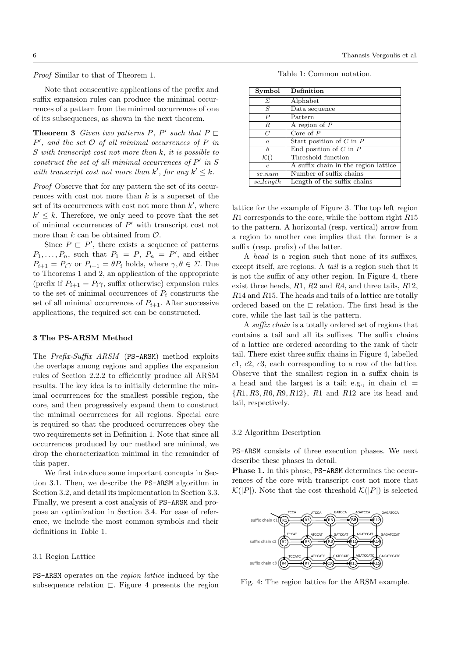Proof Similar to that of Theorem 1.

Note that consecutive applications of the prefix and suffix expansion rules can produce the minimal occurrences of a pattern from the minimal occurrences of one of its subsequences, as shown in the next theorem.

**Theorem 3** Given two patterns P, P' such that  $P \sqsubset$  $P'$ , and the set  $O$  of all minimal occurrences of  $P$  in S with transcript cost not more than k, it is possible to construct the set of all minimal occurrences of  $P'$  in S with transcript cost not more than  $k'$ , for any  $k' \leq k$ .

Proof Observe that for any pattern the set of its occurrences with cost not more than  $k$  is a superset of the set of its occurrences with cost not more than  $k'$ , where  $k' \leq k$ . Therefore, we only need to prove that the set of minimal occurrences of  $P'$  with transcript cost not more than  $k$  can be obtained from  $\mathcal{O}$ .

Since  $P \nightharpoonup P'$ , there exists a sequence of patterns  $P_1, \ldots, P_n$ , such that  $P_1 = P$ ,  $P_n = P'$ , and either  $P_{i+1} = P_i \gamma$  or  $P_{i+1} = \theta P_i$  holds, where  $\gamma, \theta \in \Sigma$ . Due to Theorems 1 and 2, an application of the appropriate (prefix if  $P_{i+1} = P_i \gamma$ , suffix otherwise) expansion rules to the set of minimal occurrences of  $P_i$  constructs the set of all minimal occurrences of  $P_{i+1}$ . After successive applications, the required set can be constructed.

#### 3 The PS-ARSM Method

The Prefix-Suffix ARSM (PS-ARSM) method exploits the overlaps among regions and applies the expansion rules of Section 2.2.2 to efficiently produce all ARSM results. The key idea is to initially determine the minimal occurrences for the smallest possible region, the core, and then progressively expand them to construct the minimal occurrences for all regions. Special care is required so that the produced occurrences obey the two requirements set in Definition 1. Note that since all occurrences produced by our method are minimal, we drop the characterization minimal in the remainder of this paper.

We first introduce some important concepts in Section 3.1. Then, we describe the PS-ARSM algorithm in Section 3.2, and detail its implementation in Section 3.3. Finally, we present a cost analysis of PS-ARSM and propose an optimization in Section 3.4. For ease of reference, we include the most common symbols and their definitions in Table 1.

#### 3.1 Region Lattice

PS-ARSM operates on the region lattice induced by the subsequence relation  $\Box$ . Figure 4 presents the region

| Symbol           | Definition                           |  |
|------------------|--------------------------------------|--|
| $\Sigma$         | Alphabet                             |  |
| S                | Data sequence                        |  |
| $\boldsymbol{P}$ | Pattern                              |  |
| R                | A region of $P$                      |  |
| $\overline{C}$   | Core of $P$                          |  |
| $\boldsymbol{a}$ | Start position of $C$ in $P$         |  |
| h                | End position of $C$ in $P$           |  |
| $\mathcal{K}$ (  | Threshold function                   |  |
| $\epsilon$       | A suffix chain in the region lattice |  |
| $sc_{num}$       | Number of suffix chains              |  |
| sc_length        | Length of the suffix chains          |  |

lattice for the example of Figure 3. The top left region  $R1$  corresponds to the core, while the bottom right  $R15$ to the pattern. A horizontal (resp. vertical) arrow from a region to another one implies that the former is a suffix (resp. prefix) of the latter.

A head is a region such that none of its suffixes, except itself, are regions. A *tail* is a region such that it is not the suffix of any other region. In Figure 4, there exist three heads,  $R1$ ,  $R2$  and  $R4$ , and three tails,  $R12$ ,  $R14$  and  $R15$ . The heads and tails of a lattice are totally ordered based on the  $\sqsubset$  relation. The first head is the core, while the last tail is the pattern.

A suffix chain is a totally ordered set of regions that contains a tail and all its suffixes. The suffix chains of a lattice are ordered according to the rank of their tail. There exist three suffix chains in Figure 4, labelled  $c1, c2, c3$ , each corresponding to a row of the lattice. Observe that the smallest region in a suffix chain is a head and the largest is a tail; e.g., in chain  $c1 =$  $\{R1, R3, R6, R9, R12\}$ , R1 and R12 are its head and tail, respectively.

#### 3.2 Algorithm Description

PS-ARSM consists of three execution phases. We next describe these phases in detail.

Phase 1. In this phase, PS-ARSM determines the occurrences of the core with transcript cost not more that  $\mathcal{K}(|P|)$ . Note that the cost threshold  $\mathcal{K}(|P|)$  is selected



Fig. 4: The region lattice for the ARSM example.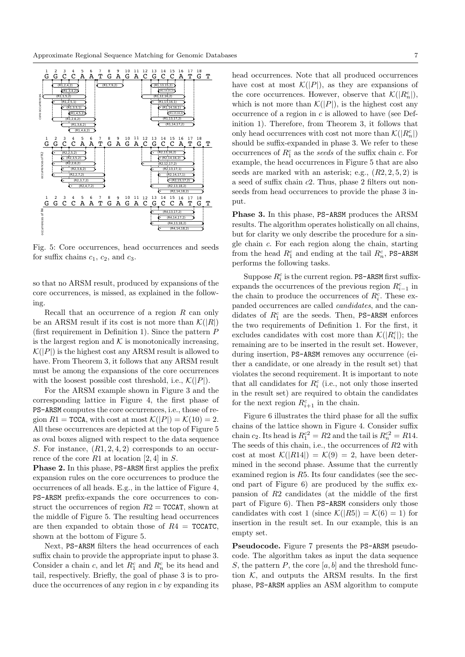

Fig. 5: Core occurrences, head occurrences and seeds for suffix chains  $c_1$ ,  $c_2$ , and  $c_3$ .

so that no ARSM result, produced by expansions of the core occurrences, is missed, as explained in the following.

Recall that an occurrence of a region  $R$  can only be an ARSM result if its cost is not more than  $\mathcal{K}(|R|)$ (first requirement in Definition 1). Since the pattern  $P$ is the largest region and  $K$  is monotonically increasing,  $\mathcal{K}(|P|)$  is the highest cost any ARSM result is allowed to have. From Theorem 3, it follows that any ARSM result must be among the expansions of the core occurrences with the loosest possible cost threshold, i.e.,  $\mathcal{K}(|P|)$ .

For the ARSM example shown in Figure 3 and the corresponding lattice in Figure 4, the first phase of PS-ARSM computes the core occurrences, i.e., those of region  $R1 =$  TCCA, with cost at most  $\mathcal{K}(|P|) = \mathcal{K}(10) = 2$ . All these occurrences are depicted at the top of Figure 5 as oval boxes aligned with respect to the data sequence S. For instance,  $(R1, 2, 4, 2)$  corresponds to an occurrence of the core R1 at location [2, 4] in  $S$ .

**Phase 2.** In this phase, PS-ARSM first applies the prefix expansion rules on the core occurrences to produce the occurrences of all heads. E.g., in the lattice of Figure 4, PS-ARSM prefix-expands the core occurrences to construct the occurrences of region  $R2 = TCCAT$ , shown at the middle of Figure 5. The resulting head occurrences are then expanded to obtain those of  $R4 = TCCATC$ , shown at the bottom of Figure 5.

Next, PS-ARSM filters the head occurrences of each suffix chain to provide the appropriate input to phase 3. Consider a chain c, and let  $R_1^c$  and  $R_n^c$  be its head and tail, respectively. Briefly, the goal of phase 3 is to produce the occurrences of any region in  $c$  by expanding its head occurrences. Note that all produced occurrences have cost at most  $\mathcal{K}(|P|)$ , as they are expansions of the core occurrences. However, observe that  $\mathcal{K}(|R_n^c|)$ , which is not more than  $\mathcal{K}(|P|)$ , is the highest cost any occurrence of a region in  $c$  is allowed to have (see Definition 1). Therefore, from Theorem 3, it follows that only head occurrences with cost not more than  $\mathcal{K}(|R_{n}^{c}|)$ should be suffix-expanded in phase 3. We refer to these occurrences of  $R_1^c$  as the seeds of the suffix chain c. For example, the head occurrences in Figure 5 that are also seeds are marked with an asterisk; e.g.,  $(R2, 2, 5, 2)$  is a seed of suffix chain  $c2$ . Thus, phase 2 filters out nonseeds from head occurrences to provide the phase 3 input.

Phase 3. In this phase, PS-ARSM produces the ARSM results. The algorithm operates holistically on all chains, but for clarity we only describe the procedure for a single chain  $c$ . For each region along the chain, starting from the head  $R_1^c$  and ending at the tail  $R_n^c$ , PS-ARSM performs the following tasks.

Suppose  $R_i^c$  is the current region. PS-ARSM first suffixexpands the occurrences of the previous region  $R_{i-1}^c$  in the chain to produce the occurrences of  $R_i^c$ . These expanded occurrences are called *candidates*, and the candidates of  $R_1^c$  are the seeds. Then, PS-ARSM enforces the two requirements of Definition 1. For the first, it excludes candidates with cost more than  $\mathcal{K}(|R_i^c|)$ ; the remaining are to be inserted in the result set. However, during insertion, PS-ARSM removes any occurrence (either a candidate, or one already in the result set) that violates the second requirement. It is important to note that all candidates for  $R_i^c$  (i.e., not only those inserted in the result set) are required to obtain the candidates for the next region  $R_{i+1}^c$  in the chain.

Figure 6 illustrates the third phase for all the suffix chains of the lattice shown in Figure 4. Consider suffix chain  $c_2$ . Its head is  $R_1^{c_2} = R_2$  and the tail is  $R_n^{c_2} = R_14$ . The seeds of this chain, i.e., the occurrences of  $R2$  with cost at most  $\mathcal{K}(|R14|) = \mathcal{K}(9) = 2$ , have been determined in the second phase. Assume that the currently examined region is  $R5$ . Its four candidates (see the second part of Figure 6) are produced by the suffix expansion of  $R2$  candidates (at the middle of the first part of Figure 6). Then PS-ARSM considers only those candidates with cost 1 (since  $\mathcal{K}(|R5|) = \mathcal{K}(6) = 1$ ) for insertion in the result set. In our example, this is an empty set.

Pseudocode. Figure 7 presents the PS-ARSM pseudocode. The algorithm takes as input the data sequence S, the pattern P, the core  $[a, b]$  and the threshold function  $K$ , and outputs the ARSM results. In the first phase, PS-ARSM applies an ASM algorithm to compute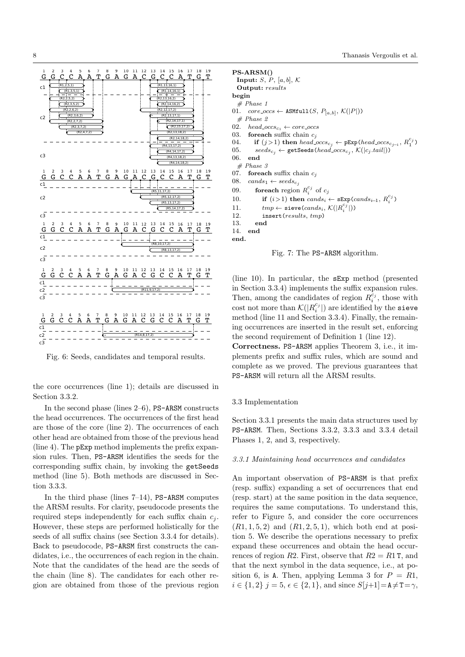

Fig. 6: Seeds, candidates and temporal results.

the core occurrences (line 1); details are discussed in Section 3.3.2.

In the second phase (lines  $2-6$ ), PS-ARSM constructs the head occurrences. The occurrences of the first head are those of the core (line 2). The occurrences of each other head are obtained from those of the previous head (line 4). The  $pExp$  method implements the prefix expansion rules. Then, PS-ARSM identifies the seeds for the corresponding suffix chain, by invoking the getSeeds method (line 5). Both methods are discussed in Section 3.3.3.

In the third phase (lines  $7-14$ ), PS-ARSM computes the ARSM results. For clarity, pseudocode presents the required steps independently for each suffix chain  $c_i$ . However, these steps are performed holistically for the seeds of all suffix chains (see Section 3.3.4 for details). Back to pseudocode, PS-ARSM first constructs the candidates, i.e., the occurrences of each region in the chain. Note that the candidates of the head are the seeds of the chain (line 8). The candidates for each other region are obtained from those of the previous region

```
PS-ARSM()Input: S, P, [a, b], KOutput: results
begin
  # Phase 101.
       core\_occs \leftarrow \texttt{ASMfull}(S, P_{[a,b]}, \mathcal{K}(|P|))# Phase 202.
       head\_occs_{c_1} \leftarrow core\_occs03.
       for each suffix chain c_i04.
          if (j>1) then head_occs<sub>c<sub>i</sub></sub> \leftarrow pExp(head_occs<sub>c<sub>i-1</sub></sub>, R_1^{c_j})
05.
          seeds_{c_j} \leftarrow \texttt{getSeeds}(head\_occs_{c_j}, \mathcal{K}(|c_j.tail|))06.
       end
  #Phase 3
07.
       for each suffix chain c_i08.
       cands_1 \leftarrow seeds_{c_i}09.
           for<br>each region R_i^{c_j} of c_jif (i>1) then cands_i \leftarrow \texttt{sExp}(cands_{i-1}, R_i^{c_j})10.
11.tmp \leftarrow \text{ sieve}(cands_i, \mathcal{K}(|R_i^{c_j}|))12.insert(results, tmp)13.
          end
14.
       end
end.
```
Fig. 7: The PS-ARSM algorithm.

(line 10). In particular, the  $sExp$  method (presented in Section 3.3.4) implements the suffix expansion rules. Then, among the candidates of region  $R_i^{c_j}$ , those with cost not more than  $\mathcal{K}(|R_i^{c_j}|)$  are identified by the sieve method (line 11 and Section 3.3.4). Finally, the remaining occurrences are inserted in the result set, enforcing the second requirement of Definition 1 (line 12).

Correctness. PS-ARSM applies Theorem 3, i.e., it implements prefix and suffix rules, which are sound and complete as we proved. The previous guarantees that PS-ARSM will return all the ARSM results.

#### 3.3 Implementation

Section 3.3.1 presents the main data structures used by PS-ARSM. Then, Sections 3.3.2, 3.3.3 and 3.3.4 detail Phases 1, 2, and 3, respectively.

## 3.3.1 Maintaining head occurrences and candidates

An important observation of PS-ARSM is that prefix (resp. suffix) expanding a set of occurrences that end (resp. start) at the same position in the data sequence, requires the same computations. To understand this, refer to Figure 5, and consider the core occurrences  $(R1, 1, 5, 2)$  and  $(R1, 2, 5, 1)$ , which both end at position 5. We describe the operations necessary to prefix expand these occurrences and obtain the head occurrences of region R2. First, observe that  $R2 = R1$  T, and that the next symbol in the data sequence, i.e., at position 6, is A. Then, applying Lemma 3 for  $P = R1$ ,  $i \in \{1,2\}$   $j = 5$ ,  $\epsilon \in \{2,1\}$ , and since  $S[j+1] = A \neq T = \gamma$ ,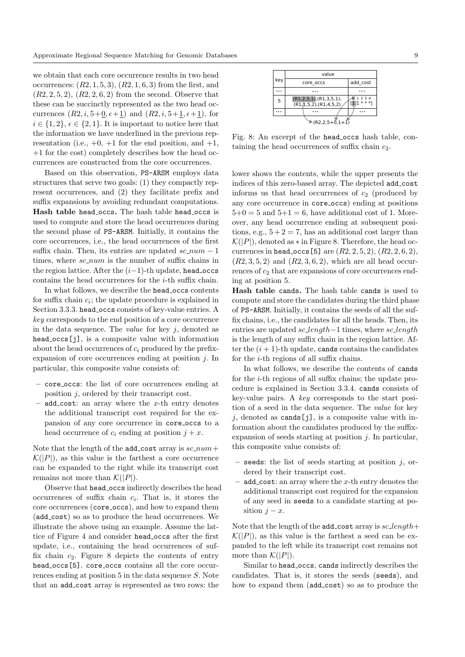we obtain that each core occurrence results in two head occurrences:  $(R2, 1, 5, 3)$ ,  $(R2, 1, 6, 3)$  from the first, and  $(R2, 2, 5, 2), (R2, 2, 6, 2)$  from the second. Observe that these can be succinctly represented as the two head occurrences  $(R2, i, 5+0, \epsilon+1)$  and  $(R2, i, 5+1, \epsilon+1)$ , for  $i \in \{1, 2\}, \epsilon \in \{2, 1\}.$  It is important to notice here that the information we have underlined in the previous representation (i.e.,  $+0$ ,  $+1$  for the end position, and  $+1$ , +1 for the cost) completely describes how the head occurrences are constructed from the core occurrences.

Based on this observation, PS-ARSM employs data structures that serve two goals: (1) they compactly represent occurrences, and (2) they facilitate prefix and suffix expansions by avoiding redundant computations. Hash table head occs. The hash table head occs is used to compute and store the head occurrences during the second phase of PS-ARSM. Initially, it contains the core occurrences, i.e., the head occurrences of the first suffix chain. Then, its entries are updated  $sc_{num} - 1$ times, where  $sc_{num}$  is the number of suffix chains in the region lattice. After the  $(i-1)$ -th update, head occs contains the head occurrences for the i-th suffix chain.

In what follows, we describe the head occs contents for suffix chain  $c_i$ ; the update procedure is explained in Section 3.3.3. head occs consists of key-value entries. A key corresponds to the end position of a core occurrence in the data sequence. The *value* for key  $j$ , denoted as head occs [j], is a composite value with information about the head occurrences of  $c_i$  produced by the prefixexpansion of core occurrences ending at position j. In particular, this composite value consists of:

- core occs: the list of core occurrences ending at position j, ordered by their transcript cost.
- add cost: an array where the  $x$ -th entry denotes the additional transcript cost required for the expansion of any core occurrence in core occs to a head occurrence of  $c_i$  ending at position  $j + x$ .

Note that the length of the add\_cost array is  $sc_{num}$ +  $\mathcal{K}(|P|)$ , as this value is the farthest a core occurrence can be expanded to the right while its transcript cost remains not more than  $\mathcal{K}(|P|)$ .

Observe that head occs indirectly describes the head occurrences of suffix chain  $c_i$ . That is, it stores the core occurrences (core\_occs), and how to expand them (add cost) so as to produce the head occurrences. We illustrate the above using an example. Assume the lattice of Figure 4 and consider head occs after the first update, i.e., containing the head occurrences of suffix chain  $c_2$ . Figure 8 depicts the contents of entry head occs<sup>[5]</sup>. core occs contains all the core occurrences ending at position 5 in the data sequence S. Note that an add cost array is represented as two rows: the

|                         | value                                                             |                           |
|-------------------------|-------------------------------------------------------------------|---------------------------|
| key                     | core occs                                                         | add cost                  |
|                         |                                                                   |                           |
| 5                       | (R1,2,5,1), (R1,3,5,1),<br>$(R1,\overline{1,5,2})$ , $(R1,4,5,2)$ | 1 2 3 4<br>$11 * * * * 1$ |
| .                       |                                                                   |                           |
| $(R2, 2, 5 + 0, 1 + 1)$ |                                                                   |                           |

Fig. 8: An excerpt of the head occs hash table, containing the head occurrences of suffix chain  $c_2$ .

lower shows the contents, while the upper presents the indices of this zero-based array. The depicted add cost informs us that head occurrences of  $c_2$  (produced by any core occurrence in core occs) ending at positions  $5+0=5$  and  $5+1=6$ , have additional cost of 1. Moreover, any head occurrence ending at subsequent positions, e.g.,  $5 + 2 = 7$ , has an additional cost larger than  $\mathcal{K}(|P|)$ , denoted as  $*$  in Figure 8. Therefore, the head occurrences in head\_occs [5] are  $(R2, 2, 5, 2), (R2, 2, 6, 2),$  $(R2, 3, 5, 2)$  and  $(R2, 3, 6, 2)$ , which are all head occurrences of  $c_2$  that are expansions of core occurrences ending at position 5.

Hash table cands. The hash table cands is used to compute and store the candidates during the third phase of PS-ARSM. Initially, it contains the seeds of all the suffix chains, i.e., the candidates for all the heads. Then, its entries are updated sc length−1 times, where sc length is the length of any suffix chain in the region lattice. After the  $(i + 1)$ -th update, cands contains the candidates for the i-th regions of all suffix chains.

In what follows, we describe the contents of cands for the i-th regions of all suffix chains; the update procedure is explained in Section 3.3.4. cands consists of key-value pairs. A key corresponds to the start position of a seed in the data sequence. The value for key j, denoted as cands [j], is a composite value with information about the candidates produced by the suffixexpansion of seeds starting at position  $j$ . In particular, this composite value consists of:

- seeds: the list of seeds starting at position  $j$ , ordered by their transcript cost.
- $add\_cost:$  an array where the  $x$ -th entry denotes the additional transcript cost required for the expansion of any seed in seeds to a candidate starting at position  $j - x$ .

Note that the length of the add\_cost array is  $sc_length+$  $\mathcal{K}(|P|)$ , as this value is the farthest a seed can be expanded to the left while its transcript cost remains not more than  $\mathcal{K}(|P|)$ .

Similar to head occs, cands indirectly describes the candidates. That is, it stores the seeds (seeds), and how to expand them (add cost) so as to produce the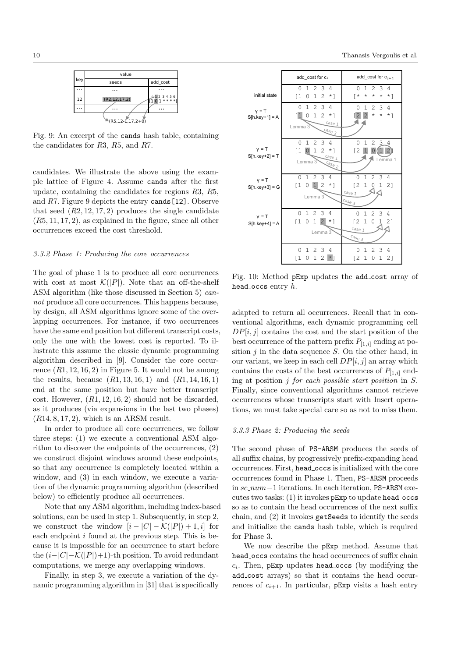|                           | value           |                               |
|---------------------------|-----------------|-------------------------------|
| key                       | seeds           | add cost                      |
|                           |                 |                               |
| 12                        | (R2, 12, 17, 2) | $0 - 12$ 3 4 5 6<br>$101***1$ |
|                           |                 |                               |
| $(R5, 12 - 1, 17, 2 + 0)$ |                 |                               |

Fig. 9: An excerpt of the cands hash table, containing the candidates for R3, R5, and R7.

candidates. We illustrate the above using the example lattice of Figure 4. Assume cands after the first update, containing the candidates for regions R3, R5, and R7. Figure 9 depicts the entry cands[12]. Observe that seed  $(R2, 12, 17, 2)$  produces the single candidate  $(R5, 11, 17, 2)$ , as explained in the figure, since all other occurrences exceed the cost threshold.

## 3.3.2 Phase 1: Producing the core occurrences

The goal of phase 1 is to produce all core occurrences with cost at most  $\mathcal{K}(|P|)$ . Note that an off-the-shelf ASM algorithm (like those discussed in Section 5) cannot produce all core occurrences. This happens because, by design, all ASM algorithms ignore some of the overlapping occurrences. For instance, if two occurrences have the same end position but different transcript costs, only the one with the lowest cost is reported. To illustrate this assume the classic dynamic programming algorithm described in [9]. Consider the core occurrence  $(R1, 12, 16, 2)$  in Figure 5. It would not be among the results, because  $(R1, 13, 16, 1)$  and  $(R1, 14, 16, 1)$ end at the same position but have better transcript cost. However,  $(R1, 12, 16, 2)$  should not be discarded, as it produces (via expansions in the last two phases)  $(R14, 8, 17, 2)$ , which is an ARSM result.

In order to produce all core occurrences, we follow three steps: (1) we execute a conventional ASM algorithm to discover the endpoints of the occurrences, (2) we construct disjoint windows around these endpoints, so that any occurrence is completely located within a window, and (3) in each window, we execute a variation of the dynamic programming algorithm (described below) to efficiently produce all occurrences.

Note that any ASM algorithm, including index-based solutions, can be used in step 1. Subsequently, in step 2, we construct the window  $[i - |C| - \mathcal{K}(|P|) + 1, i]$  for each endpoint  $i$  found at the previous step. This is because it is impossible for an occurrence to start before the  $(i-|C|-\mathcal{K}(|P|)+1)$ -th position. To avoid redundant computations, we merge any overlapping windows.

Finally, in step 3, we execute a variation of the dynamic programming algorithm in [31] that is specifically

|                             | add cost for c <sub>i</sub>                                                                                                                                                                                      | add_cost for $c_{i+1}$                                                                                                        |  |
|-----------------------------|------------------------------------------------------------------------------------------------------------------------------------------------------------------------------------------------------------------|-------------------------------------------------------------------------------------------------------------------------------|--|
| initial state               | 234<br>0<br>1<br>$\mathbf{1}$<br>[1<br>0<br>$\overline{2}$<br>$*1$                                                                                                                                               | 2 3<br>0<br>1<br>4<br>[*<br>$\star$<br>$^{\star}$<br>$^\star$<br>$*1$                                                         |  |
| $y = T$<br>$S[h-key+1] = A$ | $\mathfrak{D}$<br>3<br>0<br>4<br>1<br>$\overline{1}$<br>$1\quad2$<br>0<br>$*$ ]<br>case 1<br>Lemma 3<br>$\frac{c_{\text{dse}}}{s}$                                                                               | $\mathcal{L}$<br>3<br>4<br>0<br>1<br>$\overline{2}$<br>$\sqrt{2}$<br>$\star$<br>$\star$<br>$*1$                               |  |
| $y = T$<br>$S[hkey+2] = T$  | 2<br>$\mathbf{1}$<br>3<br>0<br>4<br>$\mathbf{1}$<br>$\overline{2}$<br>$\begin{bmatrix} 1 & 0 \end{bmatrix}$<br>$*$ 1<br>Case 1<br>Lemma 3<br>$\frac{c_{\partial S_{\mathcal{C}}}}{c_{\partial S_{\mathcal{C}}}}$ | 1<br>2<br>3<br>0<br>4<br>$\mathbf{1}$<br>0(1<br>[2<br>2<br>Lemma 1                                                            |  |
| $y = T$<br>$S[h(key+3] = G$ | 2 3<br>$\mathbf{1}$<br>$\Omega$<br>4<br>$1\vert 2$<br>$\left[1\right]$<br>$*$ ]<br>0<br>Lemma 3                                                                                                                  | 2<br>3<br>0<br>$\mathbf{1}$<br>$\overline{4}$<br>$\mathbf{1}$<br>[2]<br>$\mathbf 1$<br>-21<br>0<br>Case 1<br>$c_{\text{age}}$ |  |
| $y = T$<br>$S[hkey+4] = A$  | $1\quad2\quad3$<br>0<br>4<br>$\begin{bmatrix} 1 & 0 \end{bmatrix}$<br>$\mathbf{1}$<br>$\overline{2}$<br>$*$ ]<br>Lemma 3                                                                                         | 123<br>4<br>0<br>$\mathbf{1}$<br>[2]<br>$\overline{0}$<br>21<br>$\mathbf{1}$<br>case 1<br>$c_{\partial S \varrho}$ 3          |  |
|                             | 23<br>0<br>$\mathbf{1}$<br>4<br>$\mathbf 1$<br>2<br>٢1<br>0<br>$*$ ]                                                                                                                                             | 2 3<br>4<br>1<br>0<br>[2<br>$\mathbf{1}$<br>0<br>$\mathbf{1}$<br>2]                                                           |  |

Fig. 10: Method pExp updates the add cost array of head occs entry  $h$ .

adapted to return all occurrences. Recall that in conventional algorithms, each dynamic programming cell  $DP[i, j]$  contains the cost and the start position of the best occurrence of the pattern prefix  $P_{[1,i]}$  ending at position  $j$  in the data sequence  $S$ . On the other hand, in our variant, we keep in each cell  $DP[i, j]$  an array which contains the costs of the best occurrences of  $P_{[1,i]}$  ending at position  $i$  for each possible start position in  $S$ . Finally, since conventional algorithms cannot retrieve occurrences whose transcripts start with Insert operations, we must take special care so as not to miss them.

#### 3.3.3 Phase 2: Producing the seeds

The second phase of PS-ARSM produces the seeds of all suffix chains, by progressively prefix-expanding head occurrences. First, head occs is initialized with the core occurrences found in Phase 1. Then, PS-ARSM proceeds in sc num−1 iterations. In each iteration, PS-ARSM executes two tasks: (1) it invokes pExp to update head occs so as to contain the head occurrences of the next suffix chain, and (2) it invokes getSeeds to identify the seeds and initialize the cands hash table, which is required for Phase 3.

We now describe the pExp method. Assume that head occs contains the head occurrences of suffix chain  $c_i$ . Then, pExp updates head occs (by modifying the add cost arrays) so that it contains the head occurrences of  $c_{i+1}$ . In particular, pExp visits a hash entry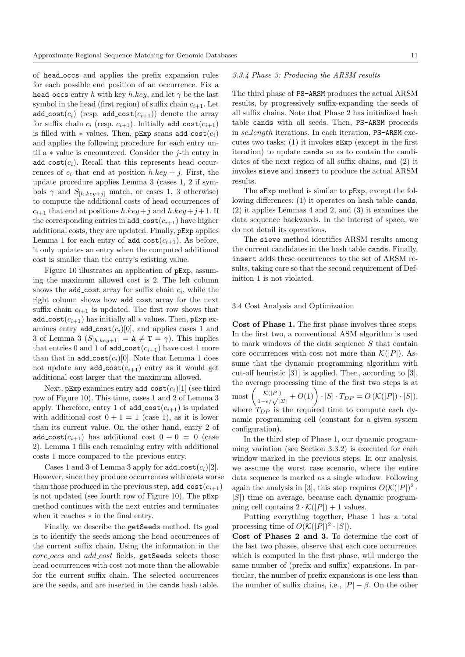of head occs and applies the prefix expansion rules for each possible end position of an occurrence. Fix a head occs entry h with key h.key, and let  $\gamma$  be the last symbol in the head (first region) of suffix chain  $c_{i+1}$ . Let add\_cost( $c_i$ ) (resp. add\_cost( $c_{i+1}$ )) denote the array for suffix chain  $c_i$  (resp.  $c_{i+1}$ ). Initially add\_cost $(c_{i+1})$ is filled with  $*$  values. Then, pExp scans add\_cost $(c_i)$ and applies the following procedure for each entry until a ∗ value is encountered. Consider the j-th entry in  $add\_{cost}(c_i)$ . Recall that this represents head occurrences of  $c_i$  that end at position  $h.key + j$ . First, the update procedure applies Lemma 3 (cases 1, 2 if symbols  $\gamma$  and  $S_{[h, key+j]}$  match, or cases 1, 3 otherwise) to compute the additional costs of head occurrences of  $c_{i+1}$  that end at positions  $h \cdot key + j$  and  $h \cdot key + j + 1$ . If the corresponding entries in add cost $(c_{i+1})$  have higher additional costs, they are updated. Finally, pExp applies Lemma 1 for each entry of  $add\_cost(c_{i+1})$ . As before, it only updates an entry when the computed additional cost is smaller than the entry's existing value.

Figure 10 illustrates an application of pExp, assuming the maximum allowed cost is 2. The left column shows the  $add\_cost$  array for suffix chain  $c_i$ , while the right column shows how add cost array for the next suffix chain  $c_{i+1}$  is updated. The first row shows that add\_cost $(c_{i+1})$  has initially all  $*$  values. Then, pExp examines entry  $add\_{cost}(c_i)[0]$ , and applies cases 1 and 3 of Lemma 3  $(S_{[h, kev+1]} = A \neq T = \gamma)$ . This implies that entries 0 and 1 of  $add\_cost(c_{i+1})$  have cost 1 more than that in  $add-cost(c_i)[0]$ . Note that Lemma 1 does not update any  $add\_{cost}(c_{i+1})$  entry as it would get additional cost larger that the maximum allowed.

Next, pExp examines entry  $add\_cost(c_i)[1]$  (see third row of Figure 10). This time, cases 1 and 2 of Lemma 3 apply. Therefore, entry 1 of  $add\_cost(c_{i+1})$  is updated with additional cost  $0 + 1 = 1$  (case 1), as it is lower than its current value. On the other hand, entry 2 of add\_cost( $c_{i+1}$ ) has additional cost  $0 + 0 = 0$  (case 2). Lemma 1 fills each remaining entry with additional costs 1 more compared to the previous entry.

Cases 1 and 3 of Lemma 3 apply for  $add\_cost(c_i)[2]$ . However, since they produce occurrences with costs worse than those produced in the previous step,  $add\_cost(c_{i+1})$ is not updated (see fourth row of Figure 10). The pExp method continues with the next entries and terminates when it reaches ∗ in the final entry.

Finally, we describe the getSeeds method. Its goal is to identify the seeds among the head occurrences of the current suffix chain. Using the information in the core occs and add cost fields, getSeeds selects those head occurrences with cost not more than the allowable for the current suffix chain. The selected occurrences are the seeds, and are inserted in the cands hash table.

## 3.3.4 Phase 3: Producing the ARSM results

The third phase of PS-ARSM produces the actual ARSM results, by progressively suffix-expanding the seeds of all suffix chains. Note that Phase 2 has initialized hash table cands with all seeds. Then, PS-ARSM proceeds in sc length iterations. In each iteration, PS-ARSM executes two tasks: (1) it invokes sExp (except in the first iteration) to update cands so as to contain the candidates of the next region of all suffix chains, and (2) it invokes sieve and insert to produce the actual ARSM results.

The sExp method is similar to pExp, except the following differences: (1) it operates on hash table cands, (2) it applies Lemmas 4 and 2, and (3) it examines the data sequence backwards. In the interest of space, we do not detail its operations.

The sieve method identifies ARSM results among the current candidates in the hash table cands. Finally, insert adds these occurrences to the set of ARSM results, taking care so that the second requirement of Definition 1 is not violated.

#### 3.4 Cost Analysis and Optimization

Cost of Phase 1. The first phase involves three steps. In the first two, a conventional ASM algorithm is used to mark windows of the data sequence S that contain core occurrences with cost not more than  $\mathcal{K}(|P|)$ . Assume that the dynamic programming algorithm with cut-off heuristic [31] is applied. Then, according to [3], the average processing time of the first two steps is at

most  $\left(\frac{\mathcal{K}(|P|)}{1-e/\sqrt{|\Sigma|}}+O(1)\right)\cdot |S|\cdot T_{DP}=O\left(\mathcal{K}(|P|)\cdot |S|\right),$ where  $T_{DP}$  is the required time to compute each dynamic programming cell (constant for a given system configuration).

In the third step of Phase 1, our dynamic programming variation (see Section 3.3.2) is executed for each window marked in the previous steps. In our analysis, we assume the worst case scenario, where the entire data sequence is marked as a single window. Following again the analysis in [3], this step requires  $O(\mathcal{K}(|P|)^2 \cdot$  $|S|$ ) time on average, because each dynamic programming cell contains  $2 \cdot \mathcal{K}(|P|) + 1$  values.

Putting everything together, Phase 1 has a total processing time of  $O(\mathcal{K}(|P|)^2 \cdot |S|)$ .

Cost of Phases 2 and 3. To determine the cost of the last two phases, observe that each core occurrence, which is computed in the first phase, will undergo the same number of (prefix and suffix) expansions. In particular, the number of prefix expansions is one less than the number of suffix chains, i.e.,  $|P| - \beta$ . On the other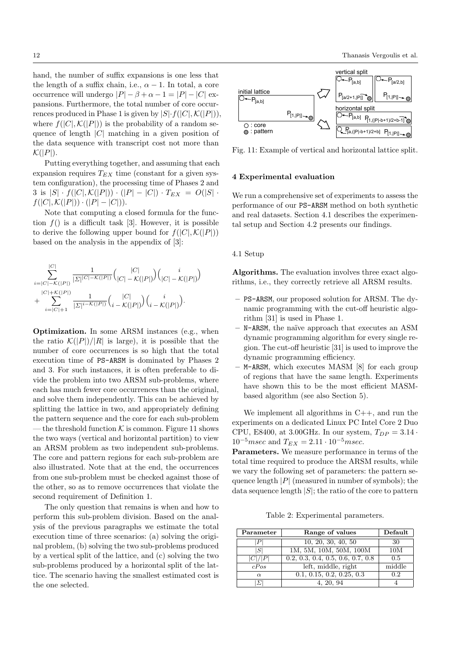hand, the number of suffix expansions is one less that the length of a suffix chain, i.e.,  $\alpha - 1$ . In total, a core occurrence will undergo  $|P| - \beta + \alpha - 1 = |P| - |C|$  expansions. Furthermore, the total number of core occurrences produced in Phase 1 is given by  $|S| \cdot f(|C|, \mathcal{K}(|P|)),$ where  $f(|C|, \mathcal{K}(|P|))$  is the probability of a random sequence of length  $|C|$  matching in a given position of the data sequence with transcript cost not more than  $\mathcal{K}(|P|)$ .

Putting everything together, and assuming that each expansion requires  $T_{EX}$  time (constant for a given system configuration), the processing time of Phases 2 and 3 is  $|S| \cdot f(|C|, \mathcal{K}(|P|)) \cdot (|P| - |C|) \cdot T_{EX} = O(|S| \cdot$  $f(|C|, \mathcal{K}(|P|)) \cdot (|P| - |C|)).$ 

Note that computing a closed formula for the function  $f()$  is a difficult task [3]. However, it is possible to derive the following upper bound for  $f(|C|, \mathcal{K}(|P|))$ based on the analysis in the appendix of [3]:

$$
\sum_{i=|C|-\mathcal{K}(|P|)}^{|C|}\frac{1}{|\Sigma|^{|C|-\mathcal{K}(|P|)}}\binom{|C|}{|C|-\mathcal{K}(|P|)}\binom{i}{|C|-\mathcal{K}(|P|)}\binom{i}{|C|-\mathcal{K}(|P|)}+\sum_{i=|C|+1}^{|C|+\mathcal{K}(|P|)}\frac{1}{|\Sigma|^{i-\mathcal{K}(|P|)}}\binom{|C|}{i-\mathcal{K}(|P|)}\binom{i}{i-\mathcal{K}(|P|)}.
$$

Optimization. In some ARSM instances (e.g., when the ratio  $\mathcal{K}(|P|)/|R|$  is large), it is possible that the number of core occurrences is so high that the total execution time of PS-ARSM is dominated by Phases 2 and 3. For such instances, it is often preferable to divide the problem into two ARSM sub-problems, where each has much fewer core occurrences than the original, and solve them independently. This can be achieved by splitting the lattice in two, and appropriately defining the pattern sequence and the core for each sub-problem – the threshold function  $K$  is common. Figure 11 shows the two ways (vertical and horizontal partition) to view an ARSM problem as two independent sub-problems. The core and pattern regions for each sub-problem are also illustrated. Note that at the end, the occurrences from one sub-problem must be checked against those of the other, so as to remove occurrences that violate the second requirement of Definition 1.

The only question that remains is when and how to perform this sub-problem division. Based on the analysis of the previous paragraphs we estimate the total execution time of three scenarios: (a) solving the original problem, (b) solving the two sub-problems produced by a vertical split of the lattice, and (c) solving the two sub-problems produced by a horizontal split of the lattice. The scenario having the smallest estimated cost is the one selected.



Fig. 11: Example of vertical and horizontal lattice split.

## 4 Experimental evaluation

We run a comprehensive set of experiments to assess the performance of our PS-ARSM method on both synthetic and real datasets. Section 4.1 describes the experimental setup and Section 4.2 presents our findings.

## 4.1 Setup

Algorithms. The evaluation involves three exact algorithms, i.e., they correctly retrieve all ARSM results.

- PS-ARSM, our proposed solution for ARSM. The dynamic programming with the cut-off heuristic algorithm [31] is used in Phase 1.
- N-ARSM, the na¨ıve approach that executes an ASM dynamic programming algorithm for every single region. The cut-off heuristic [31] is used to improve the dynamic programming efficiency.
- M-ARSM, which executes MASM [8] for each group of regions that have the same length. Experiments have shown this to be the most efficient MASMbased algorithm (see also Section 5).

We implement all algorithms in  $C_{++}$ , and run the experiments on a dedicated Linux PC Intel Core 2 Duo CPU, E8400, at 3.00GHz. In our system,  $T_{DP} = 3.14$ .  $10^{-5}msec$  and  $T_{EX} = 2.11 \cdot 10^{-5}msec$ .

Parameters. We measure performance in terms of the total time required to produce the ARSM results, while we vary the following set of parameters: the pattern sequence length  $|P|$  (measured in number of symbols); the data sequence length  $|S|$ ; the ratio of the core to pattern

Table 2: Experimental parameters.

| Parameter | Range of values                   | Default |
|-----------|-----------------------------------|---------|
|           | 10, 20, 30, 40, 50                | 30      |
| l Sl      | 1M, 5M, 10M, 50M, 100M            | 10M     |
| C / P     | 0.2, 0.3, 0.4, 0.5, 0.6, 0.7, 0.8 | 0.5     |
| cPos      | left, middle, right               | middle  |
| $\alpha$  | 0.1, 0.15, 0.2, 0.25, 0.3         | 0.2     |
|           | 4, 20, 94                         |         |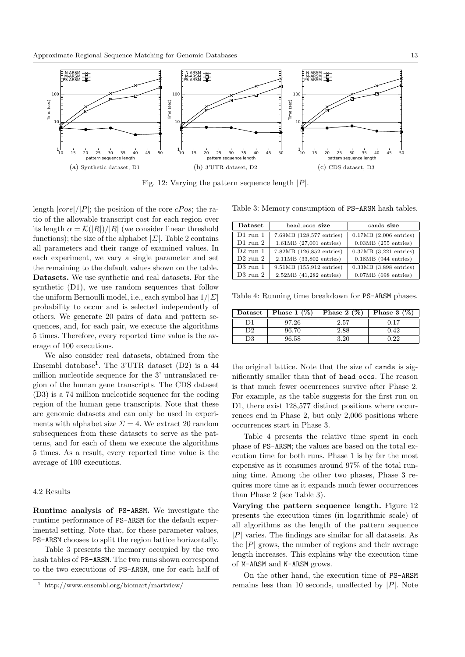

Fig. 12: Varying the pattern sequence length  $|P|$ .

length  $|core|/|P|$ ; the position of the core cPos; the ratio of the allowable transcript cost for each region over its length  $\alpha = \mathcal{K}(|R|)/|R|$  (we consider linear threshold functions); the size of the alphabet  $|\Sigma|$ . Table 2 contains all parameters and their range of examined values. In each experiment, we vary a single parameter and set the remaining to the default values shown on the table. Datasets. We use synthetic and real datasets. For the synthetic (D1), we use random sequences that follow the uniform Bernoulli model, i.e., each symbol has  $1/|\Sigma|$ probability to occur and is selected independently of others. We generate 20 pairs of data and pattern sequences, and, for each pair, we execute the algorithms 5 times. Therefore, every reported time value is the average of 100 executions.

We also consider real datasets, obtained from the Ensembl database<sup>1</sup>. The 3'UTR dataset  $(D2)$  is a 44 million nucleotide sequence for the 3' untranslated region of the human gene transcripts. The CDS dataset (D3) is a 74 million nucleotide sequence for the coding region of the human gene transcripts. Note that these are genomic datasets and can only be used in experiments with alphabet size  $\Sigma = 4$ . We extract 20 random subsequences from these datasets to serve as the patterns, and for each of them we execute the algorithms 5 times. As a result, every reported time value is the average of 100 executions.

# 4.2 Results

Runtime analysis of PS-ARSM. We investigate the runtime performance of PS-ARSM for the default experimental setting. Note that, for these parameter values, PS-ARSM chooses to split the region lattice horizontally.

Table 3 presents the memory occupied by the two hash tables of PS-ARSM. The two runs shown correspond to the two executions of PS-ARSM, one for each half of

Table 3: Memory consumption of PS-ARSM hash tables.

| Dataset<br>head_occs_size |                             | cands size                 |  |
|---------------------------|-----------------------------|----------------------------|--|
| $D1$ run 1                | 7.69MB (128,577 entries)    | $0.17MB$ $(2,006$ entries) |  |
| $D1$ run 2                | $1.61MB$ $(27,001$ entries) | $0.03MB$ (255 entries)     |  |
| $D2$ run 1                | 7.82MB (126,852 entries)    | $0.37MB$ $(3,221$ entries) |  |
| $D2$ run $2$              | 2.11MB (33,802 entries)     | $0.18MB$ (944 entries)     |  |
| $D3$ run 1                | 9.51MB (155,912 entries)    | $0.33MB$ $(3,898$ entries) |  |
| D3 run 2                  | 2.52MB (41,282 entries)     | $0.07MB$ (698 entries)     |  |

Table 4: Running time breakdown for PS-ARSM phases.

| $\mathbf{D}\mathbf{ataset}$ | Phase $1 \ (\%)$ | Phase $2(\%)$ | Phase $3 \ (\%)$ |
|-----------------------------|------------------|---------------|------------------|
|                             | 97.26            | 2.57          | 0.17             |
| D2                          | 96.70            | 2.88          | 0.42             |
| 73                          | 96.58            |               | ാറ               |

the original lattice. Note that the size of cands is significantly smaller than that of head occs. The reason is that much fewer occurrences survive after Phase 2. For example, as the table suggests for the first run on D1, there exist 128,577 distinct positions where occurrences end in Phase 2, but only 2,006 positions where occurrences start in Phase 3.

Table 4 presents the relative time spent in each phase of PS-ARSM; the values are based on the total execution time for both runs. Phase 1 is by far the most expensive as it consumes around 97% of the total running time. Among the other two phases, Phase 3 requires more time as it expands much fewer occurrences than Phase 2 (see Table 3).

Varying the pattern sequence length. Figure 12 presents the execution times (in logarithmic scale) of all algorithms as the length of the pattern sequence  $|P|$  varies. The findings are similar for all datasets. As the  $|P|$  grows, the number of regions and their average length increases. This explains why the execution time of M-ARSM and N-ARSM grows.

On the other hand, the execution time of PS-ARSM remains less than 10 seconds, unaffected by  $|P|$ . Note

<sup>1</sup> http://www.ensembl.org/biomart/martview/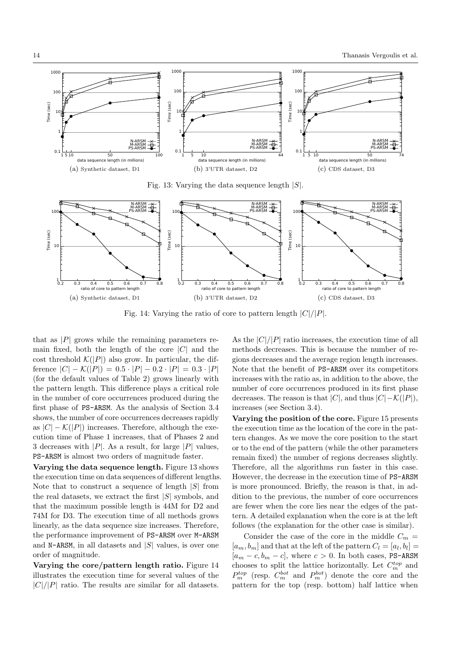

Fig. 13: Varying the data sequence length  $|S|$ .



Fig. 14: Varying the ratio of core to pattern length  $|C|/|P|$ .

that as  $|P|$  grows while the remaining parameters remain fixed, both the length of the core  $|C|$  and the cost threshold  $\mathcal{K}(|P|)$  also grow. In particular, the difference  $|C| - \mathcal{K}(|P|) = 0.5 \cdot |P| - 0.2 \cdot |P| = 0.3 \cdot |P|$ (for the default values of Table 2) grows linearly with the pattern length. This difference plays a critical role in the number of core occurrences produced during the first phase of PS-ARSM. As the analysis of Section 3.4 shows, the number of core occurrences decreases rapidly as  $|C| - \mathcal{K}(|P|)$  increases. Therefore, although the execution time of Phase 1 increases, that of Phases 2 and 3 decreases with  $|P|$ . As a result, for large  $|P|$  values, PS-ARSM is almost two orders of magnitude faster.

Varying the data sequence length. Figure 13 shows the execution time on data sequences of different lengths. Note that to construct a sequence of length  $|S|$  from the real datasets, we extract the first  $|S|$  symbols, and that the maximum possible length is 44M for D2 and 74M for D3. The execution time of all methods grows linearly, as the data sequence size increases. Therefore, the performance improvement of PS-ARSM over M-ARSM and N-ARSM, in all datasets and  $|S|$  values, is over one order of magnitude.

Varying the core/pattern length ratio. Figure 14 illustrates the execution time for several values of the  $|C|/|P|$  ratio. The results are similar for all datasets.

As the  $|C|/|P|$  ratio increases, the execution time of all methods decreases. This is because the number of regions decreases and the average region length increases. Note that the benefit of PS-ARSM over its competitors increases with the ratio as, in addition to the above, the number of core occurrences produced in its first phase decreases. The reason is that  $|C|$ , and thus  $|C|-\mathcal{K}(|P|)$ , increases (see Section 3.4).

Varying the position of the core. Figure 15 presents the execution time as the location of the core in the pattern changes. As we move the core position to the start or to the end of the pattern (while the other parameters remain fixed) the number of regions decreases slightly. Therefore, all the algorithms run faster in this case. However, the decrease in the execution time of PS-ARSM is more pronounced. Briefly, the reason is that, in addition to the previous, the number of core occurrences are fewer when the core lies near the edges of the pattern. A detailed explanation when the core is at the left follows (the explanation for the other case is similar).

Consider the case of the core in the middle  $C_m =$  $[a_m, b_m]$  and that at the left of the pattern  $C_l = [a_l, b_l] =$  $[a_m - c, b_m - c]$ , where  $c > 0$ . In both cases, PS-ARSM chooses to split the lattice horizontally. Let  $C_m^{top}$  and  $P_m^{top}$  (resp.  $C_m^{bot}$  and  $P_m^{bot}$ ) denote the core and the pattern for the top (resp. bottom) half lattice when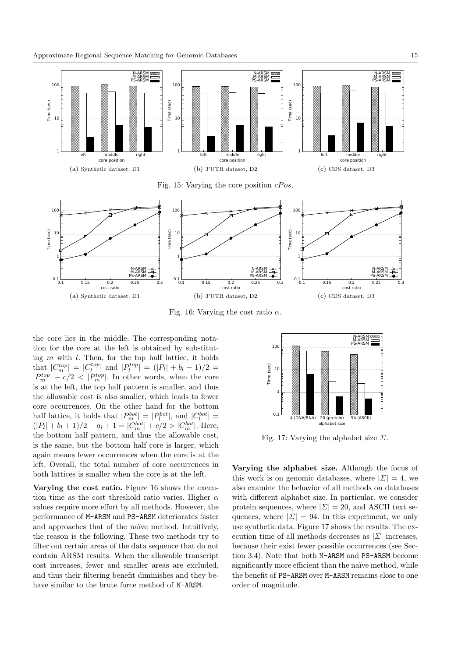

Fig. 16: Varying the cost ratio  $\alpha$ .

the core lies in the middle. The corresponding notation for the core at the left is obtained by substituting  $m$  with  $l$ . Then, for the top half lattice, it holds that  $|C_m^{top}| = |C_l^{top}|$  and  $|P_l^{top}| = (|P_l| + b_l - 1)/2 =$  $|P_m^{top}| - c/2 < |P_m^{top}|$ . In other words, when the core is at the left, the top half pattern is smaller, and thus the allowable cost is also smaller, which leads to fewer core occurrences. On the other hand for the bottom half lattice, it holds that  $|P_m^{bot}| = |P_l^{bot}|$ , and  $|C_l^{bot}| =$  $(|P_l| + b_l + 1)/2 - a_l + 1 = |C_m^{bot}| + c/2 > |C_m^{bot}|$ . Here, the bottom half pattern, and thus the allowable cost, is the same, but the bottom half core is larger, which again means fewer occurrences when the core is at the left. Overall, the total number of core occurrences in both lattices is smaller when the core is at the left.

Varying the cost ratio. Figure 16 shows the execution time as the cost threshold ratio varies. Higher  $\alpha$ values require more effort by all methods. However, the performance of M-ARSM and PS-ARSM deteriorates faster and approaches that of the naïve method. Intuitively, the reason is the following. These two methods try to filter out certain areas of the data sequence that do not contain ARSM results. When the allowable transcript cost increases, fewer and smaller areas are excluded, and thus their filtering benefit diminishes and they behave similar to the brute force method of N-ARSM.



Fig. 17: Varying the alphabet size  $\Sigma$ .

Varying the alphabet size. Although the focus of this work is on genomic databases, where  $|\Sigma| = 4$ , we also examine the behavior of all methods on databases with different alphabet size. In particular, we consider protein sequences, where  $|\Sigma| = 20$ , and ASCII text sequences, where  $|\Sigma| = 94$ . In this experiment, we only use synthetic data. Figure 17 shows the results. The execution time of all methods decreases as  $|\Sigma|$  increases, because their exist fewer possible occurrences (see Section 3.4). Note that both M-ARSM and PS-ARSM become significantly more efficient than the naïve method, while the benefit of PS-ARSM over M-ARSM remains close to one order of magnitude.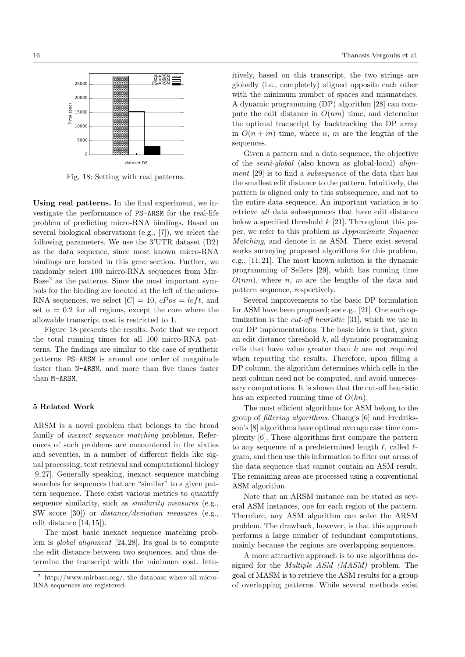

Fig. 18: Setting with real patterns.

Using real patterns. In the final experiment, we investigate the performance of PS-ARSM for the real-life problem of predicting micro-RNA bindings. Based on several biological observations (e.g., [7]), we select the following parameters. We use the 3'UTR dataset (D2) as the data sequence, since most known micro-RNA bindings are located in this gene section. Further, we randomly select 100 micro-RNA sequences from Mir-Base<sup>2</sup> as the patterns. Since the most important symbols for the binding are located at the left of the micro-RNA sequences, we select  $|C| = 10$ ,  $cPos = left$ , and set  $\alpha = 0.2$  for all regions, except the core where the allowable transcript cost is restricted to 1.

Figure 18 presents the results. Note that we report the total running times for all 100 micro-RNA patterns. The findings are similar to the case of synthetic patterns. PS-ARSM is around one order of magnitude faster than N-ARSM, and more than five times faster than M-ARSM.

## 5 Related Work

ARSM is a novel problem that belongs to the broad family of inexact sequence matching problems. References of such problems are encountered in the sixties and seventies, in a number of different fields like signal processing, text retrieval and computational biology [9, 27]. Generally speaking, inexact sequence matching searches for sequences that are "similar" to a given pattern sequence. There exist various metrics to quantify sequence similarity, such as similarity measures (e.g., SW score [30]) or distance/deviation measures (e.g., edit distance [14, 15]).

The most basic inexact sequence matching problem is global alignment [24, 28]. Its goal is to compute the edit distance between two sequences, and thus determine the transcript with the minimum cost. Intuitively, based on this transcript, the two strings are globally (i.e., completely) aligned opposite each other with the minimum number of spaces and mismatches. A dynamic programming (DP) algorithm [28] can compute the edit distance in  $O(nm)$  time, and determine the optimal transcript by backtracking the DP array in  $O(n+m)$  time, where n, m are the lengths of the sequences.

Given a pattern and a data sequence, the objective of the semi-global (also known as global-local) alignment [29] is to find a subsequence of the data that has the smallest edit distance to the pattern. Intuitively, the pattern is aligned only to this subsequence, and not to the entire data sequence. An important variation is to retrieve all data subsequences that have edit distance below a specified threshold  $k$  [21]. Throughout this paper, we refer to this problem as Approximate Sequence Matching, and denote it as ASM. There exist several works surveying proposed algorithms for this problem, e.g., [11, 21]. The most known solution is the dynamic programming of Sellers [29], which has running time  $O(nm)$ , where n, m are the lengths of the data and pattern sequence, respectively.

Several improvements to the basic DP formulation for ASM have been proposed; see e.g., [21]. One such optimization is the *cut-off heuristic* [31], which we use in our DP implementations. The basic idea is that, given an edit distance threshold  $k$ , all dynamic programming cells that have value greater than  $k$  are not required when reporting the results. Therefore, upon filling a DP column, the algorithm determines which cells in the next column need not be computed, and avoid unnecessary computations. It is shown that the cut-off heuristic has an expected running time of  $O(kn)$ .

The most efficient algorithms for ASM belong to the group of filtering algorithms. Chang's [6] and Fredriksson's [8] algorithms have optimal average case time complexity [6]. These algorithms first compare the pattern to any sequence of a predetermined length  $\ell$ , called  $\ell$ gram, and then use this information to filter out areas of the data sequence that cannot contain an ASM result. The remaining areas are processed using a conventional ASM algorithm.

Note that an ARSM instance can be stated as several ASM instances, one for each region of the pattern. Therefore, any ASM algorithm can solve the ARSM problem. The drawback, however, is that this approach performs a large number of redundant computations, mainly because the regions are overlapping sequences.

A more attractive approach is to use algorithms designed for the Multiple ASM (MASM) problem. The goal of MASM is to retrieve the ASM results for a group of overlapping patterns. While several methods exist

<sup>2</sup> http://www.mirbase.org/, the database where all micro-RNA sequences are registered.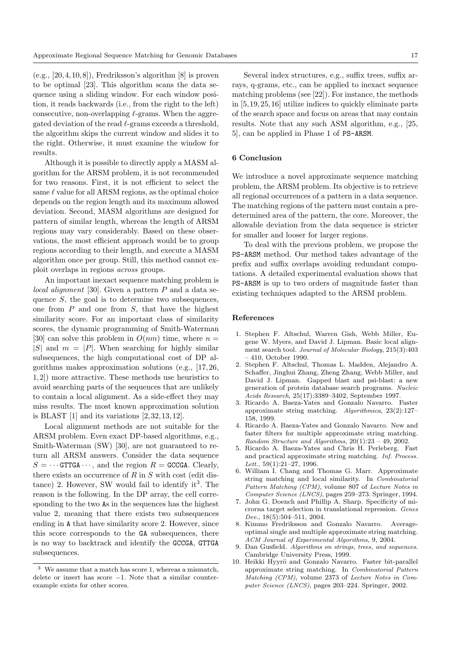$(e.g., [20, 4, 10, 8])$ , Fredriksson's algorithm  $[8]$  is proven to be optimal [23]. This algorithm scans the data sequence using a sliding window. For each window position, it reads backwards (i.e., from the right to the left) consecutive, non-overlapping  $\ell$ -grams. When the aggregated deviation of the read  $\ell$ -grams exceeds a threshold, the algorithm skips the current window and slides it to the right. Otherwise, it must examine the window for results.

Although it is possible to directly apply a MASM algorithm for the ARSM problem, it is not recommended for two reasons. First, it is not efficient to select the same  $\ell$  value for all ARSM regions, as the optimal choice depends on the region length and its maximum allowed deviation. Second, MASM algorithms are designed for pattern of similar length, whereas the length of ARSM regions may vary considerably. Based on these observations, the most efficient approach would be to group regions according to their length, and execute a MASM algorithm once per group. Still, this method cannot exploit overlaps in regions across groups.

An important inexact sequence matching problem is local alignment [30]. Given a pattern  $P$  and a data sequence  $S$ , the goal is to determine two subsequences, one from  $P$  and one from  $S$ , that have the highest similarity score. For an important class of similarity scores, the dynamic programming of Smith-Waterman [30] can solve this problem in  $O(nm)$  time, where  $n =$ |S| and  $m = |P|$ . When searching for highly similar subsequences, the high computational cost of DP algorithms makes approximation solutions (e.g., [17, 26, 1, 2]) more attractive. These methods use heuristics to avoid searching parts of the sequences that are unlikely to contain a local alignment. As a side-effect they may miss results. The most known approximation solution is BLAST  $[1]$  and its variations  $[2, 32, 13, 12]$ .

Local alignment methods are not suitable for the ARSM problem. Even exact DP-based algorithms, e.g., Smith-Waterman (SW) [30], are not guaranteed to return all ARSM answers. Consider the data sequence  $S = \cdots$  GTTGA $\cdots$ , and the region  $R =$  GCCGA. Clearly, there exists an occurrence of  $R$  in  $S$  with cost (edit dis $tance)$  2. However, SW would fail to identify it<sup>3</sup>. The reason is the following. In the DP array, the cell corresponding to the two As in the sequences has the highest value 2, meaning that there exists two subsequences ending in A that have similarity score 2. However, since this score corresponds to the GA subsequences, there is no way to backtrack and identify the GCCGA, GTTGA subsequences.

Several index structures, e.g., suffix trees, suffix arrays, q-grams, etc., can be applied to inexact sequence matching problems (see [22]). For instance, the methods in [5,19,25, 16] utilize indices to quickly eliminate parts of the search space and focus on areas that may contain results. Note that any such ASM algorithm, e.g., [25, 5], can be applied in Phase 1 of PS-ARSM.

# 6 Conclusion

We introduce a novel approximate sequence matching problem, the ARSM problem. Its objective is to retrieve all regional occurrences of a pattern in a data sequence. The matching regions of the pattern must contain a predetermined area of the pattern, the core. Moreover, the allowable deviation from the data sequence is stricter for smaller and looser for larger regions.

To deal with the previous problem, we propose the PS-ARSM method. Our method takes advantage of the prefix and suffix overlaps avoiding redundant computations. A detailed experimental evaluation shows that PS-ARSM is up to two orders of magnitude faster than existing techniques adapted to the ARSM problem.

#### References

- 1. Stephen F. Altschul, Warren Gish, Webb Miller, Eugene W. Myers, and David J. Lipman. Basic local alignment search tool. Journal of Molecular Biology, 215(3):403 – 410, October 1990.
- 2. Stephen F. Altschul, Thomas L. Madden, Alejandro A. Schaffer, Jinghui Zhang, Zheng Zhang, Webb Miller, and David J. Lipman. Gapped blast and psi-blast: a new generation of protein database search programs. Nucleic Acids Research, 25(17):3389–3402, September 1997.
- 3. Ricardo A. Baeza-Yates and Gonzalo Navarro. Faster approximate string matching. Algorithmica, 23(2):127– 158, 1999.
- 4. Ricardo A. Baeza-Yates and Gonzalo Navarro. New and faster filters for multiple approximate string matching. Random Structure and Algorithms,  $20(1):23 - 49$ ,  $2002$ .
- 5. Ricardo A. Baeza-Yates and Chris H. Perleberg. Fast and practical approximate string matching. Inf. Process. Lett.,  $59(1):21-27$ , 1996.
- 6. William I. Chang and Thomas G. Marr. Approximate string matching and local similarity. In Combinatorial Pattern Matching (CPM), volume 807 of Lecture Notes in Computer Science (LNCS), pages 259–273. Springer, 1994.
- 7. John G. Doench and Phillip A. Sharp. Specificity of microrna target selection in translational repression. Genes Dev., 18(5):504–511, 2004.
- 8. Kimmo Fredriksson and Gonzalo Navarro. Averageoptimal single and multiple approximate string matching. ACM Journal of Experimental Algorithms, 9, 2004.
- 9. Dan Gusfield. Algorithms on strings, trees, and sequences. Cambridge University Press, 1999.
- 10. Heikki Hyyrö and Gonzalo Navarro. Faster bit-parallel approximate string matching. In Combinatorial Pattern Matching (CPM), volume 2373 of Lecture Notes in Computer Science (LNCS), pages 203–224. Springer, 2002.

<sup>3</sup> We assume that a match has score 1, whereas a mismatch, delete or insert has score −1. Note that a similar counterexample exists for other scores.